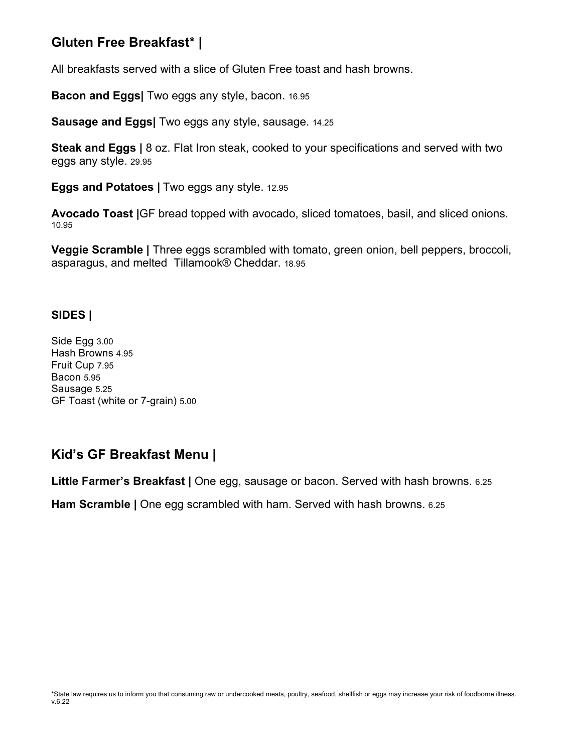# **Gluten Free Breakfast\* |**

All breakfasts served with a slice of Gluten Free toast and hash browns.

**Bacon and Eggs|** Two eggs any style, bacon. 16.95

**Sausage and Eggs|** Two eggs any style, sausage. 14.25

**Steak and Eggs |** 8 oz. Flat Iron steak, cooked to your specifications and served with two eggs any style. 29.95

**Eggs and Potatoes |** Two eggs any style. 12.95

**Avocado Toast |**GF bread topped with avocado, sliced tomatoes, basil, and sliced onions. 10.95

**Veggie Scramble |** Three eggs scrambled with tomato, green onion, bell peppers, broccoli, asparagus, and melted Tillamook® Cheddar. 18.95

### **SIDES |**

Side Egg 3.00 Hash Browns 4.95 Fruit Cup 7.95 Bacon 5.95 Sausage 5.25 GF Toast (white or 7-grain) 5.00

# **Kid's GF Breakfast Menu |**

**Little Farmer's Breakfast |** One egg, sausage or bacon. Served with hash browns. 6.25

**Ham Scramble |** One egg scrambled with ham. Served with hash browns. 6.25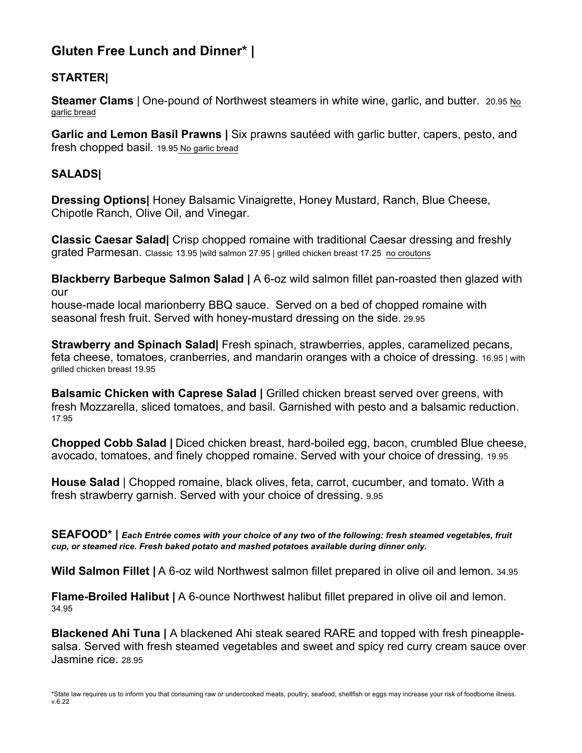# **Gluten Free Lunch and Dinner\* |**

## **STARTER|**

**Steamer Clams** | One-pound of Northwest steamers in white wine, garlic, and butter. 20.95 No garlic bread

**Garlic and Lemon Basil Prawns |** Six prawns sautéed with garlic butter, capers, pesto, and fresh chopped basil. 19.95 No garlic bread

### **SALADS|**

**Dressing Options|** Honey Balsamic Vinaigrette, Honey Mustard, Ranch, Blue Cheese, Chipotle Ranch, Olive Oil, and Vinegar.

**Classic Caesar Salad|** Crisp chopped romaine with traditional Caesar dressing and freshly grated Parmesan. Classic 13.95 |wild salmon 27.95 | grilled chicken breast 17.25 no croutons

**Blackberry Barbeque Salmon Salad |** A 6-oz wild salmon fillet pan-roasted then glazed with our

house-made local marionberry BBQ sauce. Served on a bed of chopped romaine with seasonal fresh fruit. Served with honey-mustard dressing on the side. 29.95

**Strawberry and Spinach Salad|** Fresh spinach, strawberries, apples, caramelized pecans, feta cheese, tomatoes, cranberries, and mandarin oranges with a choice of dressing. 16.95 | with grilled chicken breast 19.95

**Balsamic Chicken with Caprese Salad |** Grilled chicken breast served over greens, with fresh Mozzarella, sliced tomatoes, and basil. Garnished with pesto and a balsamic reduction. 17.95

**Chopped Cobb Salad |** Diced chicken breast, hard-boiled egg, bacon, crumbled Blue cheese, avocado, tomatoes, and finely chopped romaine. Served with your choice of dressing. 19.95

**House Salad** | Chopped romaine, black olives, feta, carrot, cucumber, and tomato. With a fresh strawberry garnish. Served with your choice of dressing. 9.95

**SEAFOOD\* |** *Each Entrée comes with your choice of any two of the following: fresh steamed vegetables, fruit cup, or steamed rice. Fresh baked potato and mashed potatoes available during dinner only.* 

**Wild Salmon Fillet |** A 6-oz wild Northwest salmon fillet prepared in olive oil and lemon. 34.95

**Flame-Broiled Halibut |** A 6-ounce Northwest halibut fillet prepared in olive oil and lemon. 34.95

**Blackened Ahi Tuna |** A blackened Ahi steak seared RARE and topped with fresh pineapplesalsa. Served with fresh steamed vegetables and sweet and spicy red curry cream sauce over Jasmine rice. 28.95